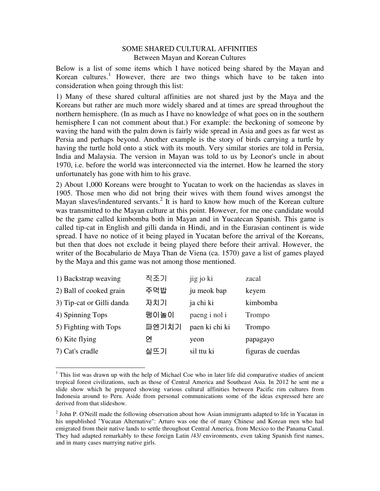# SOME SHARED CULTURAL AFFINITIES Between Mayan and Korean Cultures

Below is a list of some items which I have noticed being shared by the Mayan and Korean cultures.<sup>1</sup> However, there are two things which have to be taken into consideration when going through this list:

1) Many of these shared cultural affinities are not shared just by the Maya and the Koreans but rather are much more widely shared and at times are spread throughout the northern hemisphere. (In as much as I have no knowledge of what goes on in the southern hemisphere I can not comment about that.) For example: the beckoning of someone by waving the hand with the palm down is fairly wide spread in Asia and goes as far west as Persia and perhaps beyond. Another example is the story of birds carrying a turtle by having the turtle hold onto a stick with its mouth. Very similar stories are told in Persia, India and Malaysia. The version in Mayan was told to us by Leonor's uncle in about 1970, i.e. before the world was interconnected via the internet. How he learned the story unfortunately has gone with him to his grave.

2) About 1,000 Koreans were brought to Yucatan to work on the haciendas as slaves in 1905. Those men who did not bring their wives with them found wives amongst the Mayan slaves/indentured servants.<sup>2</sup> It is hard to know how much of the Korean culture was transmitted to the Mayan culture at this point. However, for me one candidate would be the game called kimbomba both in Mayan and in Yucatecan Spanish. This game is called tip-cat in English and gilli danda in Hindi, and in the Eurasian continent is wide spread. I have no notice of it being played in Yucatan before the arrival of the Koreans, but then that does not exclude it being played there before their arrival. However, the writer of the Bocabulario de Maya Than de Viena (ca. 1570) gave a list of games played by the Maya and this game was not among those mentioned.

| 1) Backstrap weaving      | 직조기   | jig jo ki      | zacal              |
|---------------------------|-------|----------------|--------------------|
| 2) Ball of cooked grain   | 주먹밥   | ju meok bap    | keyem              |
| 3) Tip-cat or Gilli danda | 자치기   | ja chi ki      | kimbomba           |
| 4) Spinning Tops          | 팽이놀이  | paeng i nol i  | Trompo             |
| 5) Fighting with Tops     | 파엔기치기 | paen ki chi ki | Trompo             |
| 6) Kite flying            | 연     | yeon           | papagayo           |
| 7) Cat's cradle           | 실뜨기   | sil ttu ki     | figuras de cuerdas |

 $\overline{a}$ <sup>1</sup> This list was drawn up with the help of Michael Coe who in later life did comparative studies of ancient tropical forest civilizations, such as those of Central America and Southeast Asia. In 2012 he sent me a slide show which he prepared showing various cultural affinities between Pacific rim cultures from Indonesia around to Peru. Aside from personal communications some of the ideas expressed here are derived from that slideshow.

<sup>&</sup>lt;sup>2</sup> John P. O'Neill made the following observation about how Asian immigrants adapted to life in Yucatan in his unpublished "Yucatan Alternative": Arturo was one the of many Chinese and Korean men who had emigrated from their native lands to settle throughout Central America, from Mexico to the Panama Canal. They had adapted remarkably to these foreign Latin /43/ environments, even taking Spanish first names, and in many cases marrying native girls.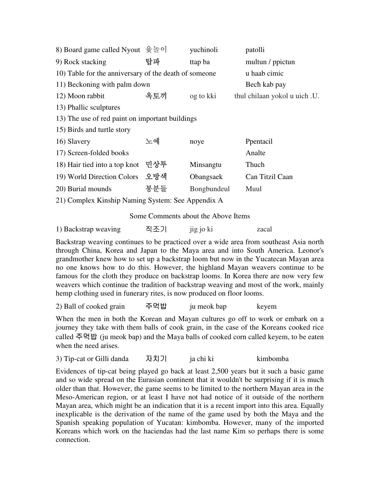| 8) Board game called Nyout 윷놀이                        |     | yuchinoli   | patolli                       |
|-------------------------------------------------------|-----|-------------|-------------------------------|
| 9) Rock stacking                                      | 탑파  | ttap ba     | multun / ppictun              |
| 10) Table for the anniversary of the death of someone |     |             | u haab cimic                  |
| 11) Beckoning with palm down                          |     |             | Bech kab pay                  |
| 12) Moon rabbit                                       | 옥토끼 | og to kki   | thul chilaan yokol u uich .U. |
| 13) Phallic sculptures                                |     |             |                               |
| 13) The use of red paint on important buildings       |     |             |                               |
| 15) Birds and turtle story                            |     |             |                               |
| 16) Slavery                                           | 노예  | noye        | Ppentacil                     |
| 17) Screen-folded books                               |     |             | Analte                        |
| 18) Hair tied into a top knot                         | 민상투 | Minsangtu   | Thuch                         |
| 19) World Direction Colors                            | 오방색 | Obangsaek   | Can Titzil Caan               |
| 20) Burial mounds                                     | 봉분들 | Bongbundeul | Muul                          |
| 21) Complex Kinship Naming System: See Appendix A     |     |             |                               |

Some Comments about the Above Items

1) Backstrap weaving 직조기 jig jo ki zacal

Backstrap weaving continues to be practiced over a wide area from southeast Asia north through China, Korea and Japan to the Maya area and into South America. Leonor's grandmother knew how to set up a backstrap loom but now in the Yucatecan Mayan area no one knows how to do this. However, the highland Mayan weavers continue to be famous for the cloth they produce on backstrap looms. In Korea there are now very few weavers which continue the tradition of backstrap weaving and most of the work, mainly hemp clothing used in funerary rites, is now produced on floor looms.

2) Ball of cooked grain 주먹밥 ju meok bap keyem

When the men in both the Korean and Mayan cultures go off to work or embark on a journey they take with them balls of cook grain, in the case of the Koreans cooked rice called 주먹밥 (ju meok bap) and the Maya balls of cooked corn called keyem, to be eaten when the need arises.

3) Tip-cat or Gilli danda 자치기 ja chi ki kimbomba

Evidences of tip-cat being played go back at least 2,500 years but it such a basic game and so wide spread on the Eurasian continent that it wouldn't be surprising if it is much older than that. However, the game seems to be limited to the northern Mayan area in the Meso-American region, or at least I have not had notice of it outside of the northern Mayan area, which might be an indication that it is a recent import into this area. Equally inexplicable is the derivation of the name of the game used by both the Maya and the Spanish speaking population of Yucatan: kimbomba. However, many of the imported Koreans which work on the haciendas had the last name Kim so perhaps there is some connection.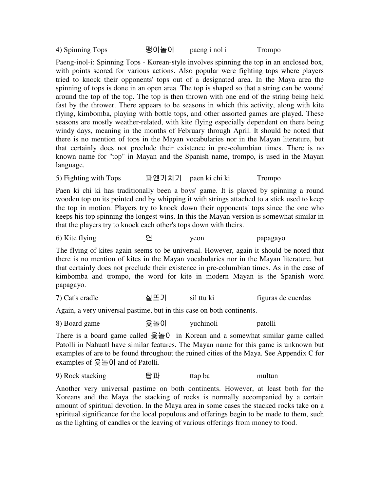4) Spinning Tops 팽이놀이 paeng i nol i Trompo

Paeng-inol-i: Spinning Tops - Korean-style involves spinning the top in an enclosed box, with points scored for various actions. Also popular were fighting tops where players tried to knock their opponents' tops out of a designated area. In the Maya area the spinning of tops is done in an open area. The top is shaped so that a string can be wound around the top of the top. The top is then thrown with one end of the string being held fast by the thrower. There appears to be seasons in which this activity, along with kite flying, kimbomba, playing with bottle tops, and other assorted games are played. These seasons are mostly weather-related, with kite flying especially dependent on there being windy days, meaning in the months of February through April. It should be noted that there is no mention of tops in the Mayan vocabularies nor in the Mayan literature, but that certainly does not preclude their existence in pre-columbian times. There is no known name for "top" in Mayan and the Spanish name, trompo, is used in the Mayan language.

5) Fighting with Tops 파엔기치기 paen ki chi ki Trompo

Paen ki chi ki has traditionally been a boys' game. It is played by spinning a round wooden top on its pointed end by whipping it with strings attached to a stick used to keep the top in motion. Players try to knock down their opponents' tops since the one who keeps his top spinning the longest wins. In this the Mayan version is somewhat similar in that the players try to knock each other's tops down with theirs.

6) Kite flying 연 yeon papagayo

The flying of kites again seems to be universal. However, again it should be noted that there is no mention of kites in the Mayan vocabularies nor in the Mayan literature, but that certainly does not preclude their existence in pre-columbian times. As in the case of kimbomba and trompo, the word for kite in modern Mayan is the Spanish word papagayo.

 $7)$  Cat's cradle  $\triangleq \Xi$ 기 sil ttu ki figuras de cuerdas

Again, a very universal pastime, but in this case on both continents.

8) Board game 윷놀이 yuchinoli patolli

There is a board game called 윷놀이 in Korean and a somewhat similar game called Patolli in Nahuatl have similar features. The Mayan name for this game is unknown but examples of are to be found throughout the ruined cities of the Maya. See Appendix C for examples of 윷놀이 and of Patolli.

9) Rock stacking ttap ba multun

Another very universal pastime on both continents. However, at least both for the Koreans and the Maya the stacking of rocks is normally accompanied by a certain amount of spiritual devotion. In the Maya area in some cases the stacked rocks take on a spiritual significance for the local populous and offerings begin to be made to them, such as the lighting of candles or the leaving of various offerings from money to food.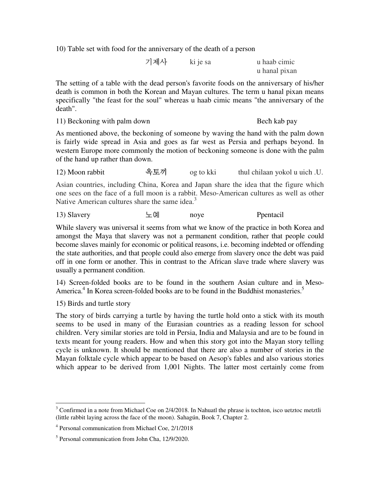10) Table set with food for the anniversary of the death of a person

 기제사ki je sa u haab cimic u hanal pixan

The setting of a table with the dead person's favorite foods on the anniversary of his/her death is common in both the Korean and Mayan cultures. The term u hanal pixan means specifically "the feast for the soul" whereas u haab cimic means "the anniversary of the death".

11) Beckoning with palm down Bech kab pay

As mentioned above, the beckoning of someone by waving the hand with the palm down is fairly wide spread in Asia and goes as far west as Persia and perhaps beyond. In western Europe more commonly the motion of beckoning someone is done with the palm of the hand up rather than down.

12) Moon rabbit – 옥토끼 g to kki thul chilaan yokol u uich .U.

Asian countries, including China, Korea and Japan share the idea that the figure which one sees on the face of a full moon is a rabbit. Meso-American cultures as well as other Native American cultures share the same idea.<sup>3</sup>

13) Slavery 노예 noye Ppentacil

While slavery was universal it seems from what we know of the practice in both Korea and amongst the Maya that slavery was not a permanent condition, rather that people could become slaves mainly for economic or political reasons, i.e. becoming indebted or offending the state authorities, and that people could also emerge from slavery once the debt was paid off in one form or another. This in contrast to the African slave trade where slavery was usually a permanent condition.

14) Screen-folded books are to be found in the southern Asian culture and in Meso-America.<sup>4</sup> In Korea screen-folded books are to be found in the Buddhist monasteries.<sup>5</sup>

15) Birds and turtle story

The story of birds carrying a turtle by having the turtle hold onto a stick with its mouth seems to be used in many of the Eurasian countries as a reading lesson for school children. Very similar stories are told in Persia, India and Malaysia and are to be found in texts meant for young readers. How and when this story got into the Mayan story telling cycle is unknown. It should be mentioned that there are also a number of stories in the Mayan folktale cycle which appear to be based on Aesop's fables and also various stories which appear to be derived from 1,001 Nights. The latter most certainly come from

 $\overline{a}$  $3$  Confirmed in a note from Michael Coe on 2/4/2018. In Nahuatl the phrase is tochton, isco uetztoc metztli (little rabbit laying across the face of the moon). Sahagún, Book 7, Chapter 2.

<sup>4</sup> Personal communication from Michael Coe, 2/1/2018

<sup>5</sup> Personal communication from John Cha, 12/9/2020.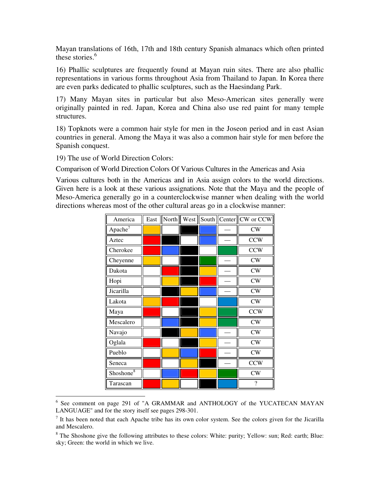Mayan translations of 16th, 17th and 18th century Spanish almanacs which often printed these stories. $6$ 

16) Phallic sculptures are frequently found at Mayan ruin sites. There are also phallic representations in various forms throughout Asia from Thailand to Japan. In Korea there are even parks dedicated to phallic sculptures, such as the Haesindang Park.

17) Many Mayan sites in particular but also Meso-American sites generally were originally painted in red. Japan, Korea and China also use red paint for many temple structures.

18) Topknots were a common hair style for men in the Joseon period and in east Asian countries in general. Among the Maya it was also a common hair style for men before the Spanish conquest.

19) The use of World Direction Colors:

Comparison of World Direction Colors Of Various Cultures in the Americas and Asia

Various cultures both in the Americas and in Asia assign colors to the world directions. Given here is a look at these various assignations. Note that the Maya and the people of Meso-America generally go in a counterclockwise manner when dealing with the world directions whereas most of the other cultural areas go in a clockwise manner:

| America               | East | North |  | West  South  Center  CW or CCW |
|-----------------------|------|-------|--|--------------------------------|
| Apache $7$            |      |       |  | CW                             |
| Aztec                 |      |       |  | <b>CCW</b>                     |
| Cherokee              |      |       |  | <b>CCW</b>                     |
| Cheyenne              |      |       |  | CW                             |
| Dakota                |      |       |  | CW                             |
| Hopi                  |      |       |  | CW                             |
| Jicarilla             |      |       |  | CW                             |
| Lakota                |      |       |  | CW                             |
| Maya                  |      |       |  | <b>CCW</b>                     |
| Mescalero             |      |       |  | CW                             |
| Navajo                |      |       |  | CW                             |
| Oglala                |      |       |  | ${\rm\bf CW}$                  |
| Pueblo                |      |       |  | CW                             |
| Seneca                |      |       |  | <b>CCW</b>                     |
| Shoshone <sup>8</sup> |      |       |  | CW                             |
| Tarascan              |      |       |  | $\overline{\cdot}$             |

Figure 201 of "A GRAMMAR and ANTHOLOGY of the YUCATECAN MAYAN LANGUAGE" and for the story itself see pages 298-301.

 $<sup>7</sup>$  It has been noted that each Apache tribe has its own color system. See the colors given for the Jicarilla</sup> and Mescalero.

<sup>&</sup>lt;sup>8</sup> The Shoshone give the following attributes to these colors: White: purity; Yellow: sun; Red: earth; Blue: sky; Green: the world in which we live.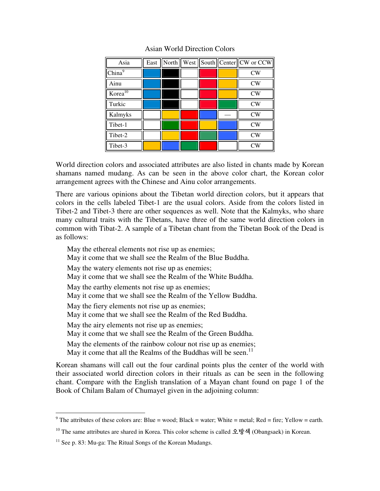| Asia                | East |  |  | North    West    South    Center    CW or CCW |
|---------------------|------|--|--|-----------------------------------------------|
| China <sup>9</sup>  |      |  |  | CW                                            |
| Ainu                |      |  |  | CW                                            |
| Korea <sup>10</sup> |      |  |  | CW                                            |
| Turkic              |      |  |  | CW                                            |
| Kalmyks             |      |  |  | CW                                            |
| Tibet-1             |      |  |  | CW                                            |
| Tibet-2             |      |  |  | CW                                            |
| Tibet-3             |      |  |  | CW                                            |

## Asian World Direction Colors

World direction colors and associated attributes are also listed in chants made by Korean shamans named mudang. As can be seen in the above color chart, the Korean color arrangement agrees with the Chinese and Ainu color arrangements.

There are various opinions about the Tibetan world direction colors, but it appears that colors in the cells labeled Tibet-1 are the usual colors. Aside from the colors listed in Tibet-2 and Tibet-3 there are other sequences as well. Note that the Kalmyks, who share many cultural traits with the Tibetans, have three of the same world direction colors in common with Tibat-2. A sample of a Tibetan chant from the Tibetan Book of the Dead is as follows:

May the ethereal elements not rise up as enemies; May it come that we shall see the Realm of the Blue Buddha. May the watery elements not rise up as enemies; May it come that we shall see the Realm of the White Buddha. May the earthy elements not rise up as enemies; May it come that we shall see the Realm of the Yellow Buddha. May the fiery elements not rise up as enemies; May it come that we shall see the Realm of the Red Buddha. May the airy elements not rise up as enemies; May it come that we shall see the Realm of the Green Buddha. May the elements of the rainbow colour not rise up as enemies; May it come that all the Realms of the Buddhas will be seen.<sup>11</sup>

Korean shamans will call out the four cardinal points plus the center of the world with their associated world direction colors in their rituals as can be seen in the following chant. Compare with the English translation of a Mayan chant found on page 1 of the Book of Chilam Balam of Chumayel given in the adjoining column:

The attributes of these colors are: Blue = wood; Black = water; White = metal; Red = fire; Yellow = earth.

<sup>&</sup>lt;sup>10</sup> The same attributes are shared in Korea. This color scheme is called 오방색 (Obangsaek) in Korean.

 $11$  See p. 83: Mu-ga: The Ritual Songs of the Korean Mudangs.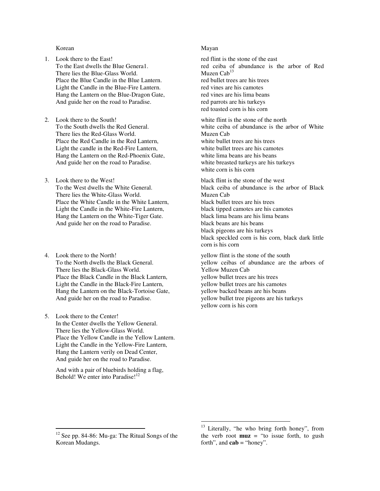#### Korean

- 1. Look there to the East! To the East dwells the Blue Genera1. There lies the Blue-Glass World. Place the Blue Candle in the Blue Lantern. Light the Candle in the Blue-Fire Lantern. Hang the Lantern on the Blue-Dragon Gate, And guide her on the road to Paradise.
- 2. Look there to the South! To the South dwells the Red General. There lies the Red-Glass World. Place the Red Candle in the Red Lantern, Light the candle in the Red-Fire Lantern, Hang the Lantern on the Red-Phoenix Gate, And guide her on the road to Paradise.
- 3. Look there to the West! To the West dwells the White General. There lies the White-Glass World. Place the White Candle in the White Lantern, Light the Candle in the White-Fire Lantern, Hang the Lantern on the White-Tiger Gate. And guide her on the road to Paradise.
- 4. Look there to the North! To the North dwells the Black General. There lies the Black-Glass World. Place the Black Candle in the Black Lantern, Light the Candle in the Black-Fire Lantern, Hang the Lantern on the Black-Tortoise Gate, And guide her on the road to Paradise.
- 5. Look there to the Center! In the Center dwells the Yellow General. There lies the Yellow-Glass World. Place the Yellow Candle in the Yellow Lantern. Light the Candle in the Yellow-Fire Lantern, Hang the Lantern verily on Dead Center, And guide her on the road to Paradise.

 And with a pair of bluebirds holding a flag, Behold! We enter into Paradise!<sup>12</sup>

#### Mayan

red flint is the stone of the east red ceiba of abundance is the arbor of Red Muzen Cab<sup>13</sup> red bullet trees are his trees red vines are his camotes red vines are his lima beans red parrots are his turkeys red toasted corn is his corn

white flint is the stone of the north white ceiba of abundance is the arbor of White Muzen Cab white bullet trees are his trees white bullet trees are his camotes white lima beans are his beans white breasted turkeys are his turkeys white corn is his corn

black flint is the stone of the west black ceiba of abundance is the arbor of Black Muzen Cab black bullet trees are his trees black tipped camotes are his camotes black lima beans are his lima beans black beans are his beans black pigeons are his turkeys black speckled corn is his corn, black dark little corn is his corn

yellow flint is the stone of the south yellow ceibas of abundance are the arbors of Yellow Muzen Cab yellow bullet trees are his trees yellow bullet trees are his camotes yellow backed beans are his beans yellow bullet tree pigeons are his turkeys yellow corn is his corn

-

 $12$  See pp. 84-86: Mu-ga: The Ritual Songs of the Korean Mudangs.

<sup>&</sup>lt;u>.</u> <sup>13</sup> Literally, "he who bring forth honey", from the verb root  $muz =$  "to issue forth, to gush forth", and **cab** = "honey".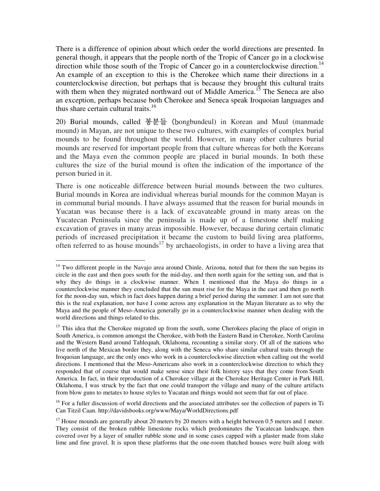There is a difference of opinion about which order the world directions are presented. In general though, it appears that the people north of the Tropic of Cancer go in a clockwise direction while those south of the Tropic of Cancer go in a counterclockwise direction.<sup>14</sup> An example of an exception to this is the Cherokee which name their directions in a counterclockwise direction, but perhaps that is because they brought this cultural traits with them when they migrated northward out of Middle America.<sup>15</sup> The Seneca are also an exception, perhaps because both Cherokee and Seneca speak Iroquoian languages and thus share certain cultural traits. $16$ 

20) Burial mounds, called 봉분들 (bongbundeul) in Korean and Muul (manmade mound) in Mayan, are not unique to these two cultures, with examples of complex burial mounds to be found throughout the world. However, in many other cultures burial mounds are reserved for important people from that culture whereas for both the Koreans and the Maya even the common people are placed in burial mounds. In both these cultures the size of the burial mound is often the indication of the importance of the person buried in it.

There is one noticeable difference between burial mounds between the two cultures. Burial mounds in Korea are individual whereas burial mounds for the common Mayan is in communal burial mounds. I have always assumed that the reason for burial mounds in Yucatan was because there is a lack of excavateable ground in many areas on the Yucatecan Peninsula since the peninsula is made up of a limestone shelf making excavation of graves in many areas impossible. However, because during certain climatic periods of increased precipitation it became the custom to build living area platforms, often referred to as house mounds<sup>17</sup> by archaeologists, in order to have a living area that

<sup>-</sup><sup>14</sup> Two different people in the Navajo area around Chinle, Arizona, noted that for them the sun begins its circle in the east and then goes south for the mid-day, and then north again for the setting sun, and that is why they do things in a clockwise manner. When I mentioned that the Maya do things in a counterclockwise manner they concluded that the sun must rise for the Maya in the east and then go north for the noon-day sun, which in fact does happen during a brief period during the summer. I am not sure that this is the real explanation, nor have I come across any explanation in the Mayan literature as to why the Maya and the people of Meso-America generally go in a counterclockwise manner when dealing with the world directions and things related to this.

<sup>&</sup>lt;sup>15</sup> This idea that the Cherokee migrated up from the south, some Cherokees placing the place of origin in South America, is common amongst the Cherokee, with both the Eastern Band in Cherokee, North Carolina and the Western Band around Tahlequah, Oklahoma, recounting a similar story. Of all of the nations who live north of the Mexican border they, along with the Seneca who share similar cultural traits through the Iroquoian language, are the only ones who work in a counterclockwise direction when calling out the world directions. I mentioned that the Meso-Americans also work in a counterclockwise direction to which they responded that of course that would make sense since their folk history says that they come from South America. In fact, in their reproduction of a Cherokee village at the Cherokee Heritage Center in Park Hill, Oklahoma, I was struck by the fact that one could transport the village and many of the culture artifacts from blow guns to metates to house styles to Yucatan and things would not seem that far out of place.

<sup>&</sup>lt;sup>16</sup> For a fuller discussion of world directions and the associated attributes see the collection of papers in Ti Can Titzil Caan. http://davidsbooks.org/www/Maya/WorldDirections.pdf

 $17$  House mounds are generally about 20 meters by 20 meters with a height between 0.5 meters and 1 meter. They consist of the broken rubble limestone rocks which predominates the Yucatecan landscape, then covered over by a layer of smaller rubble stone and in some cases capped with a plaster made from slake lime and fine gravel. It is upon these platforms that the one-room thatched houses were built along with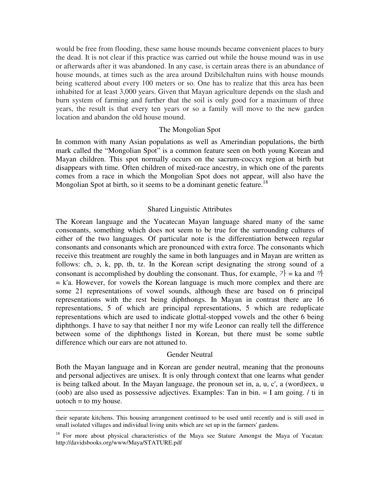would be free from flooding, these same house mounds became convenient places to bury the dead. It is not clear if this practice was carried out while the house mound was in use or afterwards after it was abandoned. In any case, is certain areas there is an abundance of house mounds, at times such as the area around Dzibilchaltun ruins with house mounds being scattered about every 100 meters or so. One has to realize that this area has been inhabited for at least 3,000 years. Given that Mayan agriculture depends on the slash and burn system of farming and further that the soil is only good for a maximum of three years, the result is that every ten years or so a family will move to the new garden location and abandon the old house mound.

## The Mongolian Spot

In common with many Asian populations as well as Amerindian populations, the birth mark called the "Mongolian Spot" is a common feature seen on both young Korean and Mayan children. This spot normally occurs on the sacrum-coccyx region at birth but disappears with time. Often children of mixed-race ancestry, in which one of the parents comes from a race in which the Mongolian Spot does not appear, will also have the Mongolian Spot at birth, so it seems to be a dominant genetic feature.<sup>18</sup>

### Shared Linguistic Attributes

The Korean language and the Yucatecan Mayan language shared many of the same consonants, something which does not seem to be true for the surrounding cultures of either of the two languages. Of particular note is the differentiation between regular consonants and consonants which are pronounced with extra force. The consonants which receive this treatment are roughly the same in both languages and in Mayan are written as follows: cħ, ɔ, k, pp, th, tz. In the Korean script designating the strong sound of a consonant is accomplished by doubling the consonant. Thus, for example,  $\vec{r}$  = ka and  $\vec{r}$  $=$  k'a. However, for vowels the Korean language is much more complex and there are some 21 representations of vowel sounds, although these are based on 6 principal representations with the rest being diphthongs. In Mayan in contrast there are 16 representations, 5 of which are principal representations, 5 which are reduplicate representations which are used to indicate glottal-stopped vowels and the other 6 being diphthongs. I have to say that neither I nor my wife Leonor can really tell the difference between some of the diphthongs listed in Korean, but there must be some subtle difference which our ears are not attuned to.

### Gender Neutral

Both the Mayan language and in Korean are gender neutral, meaning that the pronouns and personal adjectives are unisex. It is only through context that one learns what gender is being talked about. In the Mayan language, the pronoun set in, a, u, c', a (word)eex, u (oob) are also used as possessive adjectives. Examples: Tan in bin. = I am going. / ti in uotoch  $=$  to my house.

-

their separate kitchens. This housing arrangement continued to be used until recently and is still used in small isolated villages and individual living units which are set up in the farmers' gardens.

 $18$  For more about physical characteristics of the Maya see Stature Amongst the Maya of Yucatan: http://davidsbooks.org/www/Maya/STATURE.pdf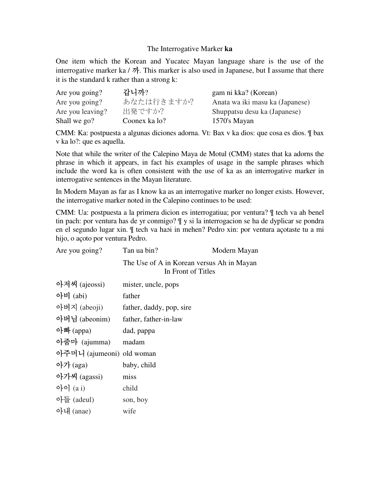### The Interrogative Marker **ka**

One item which the Korean and Yucatec Mayan language share is the use of the interrogative marker ka /  $\vec{v}$ . This marker is also used in Japanese, but I assume that there it is the standard k rather than a strong k:

| Are you going?   | 감니까?          | gam ni kka? (Korean)            |
|------------------|---------------|---------------------------------|
| Are you going?   | あなたは行きますか?    | Anata wa iki masu ka (Japanese) |
| Are you leaving? | 出発ですか?        | Shuppatsu desu ka (Japanese)    |
| Shall we go?     | Coonex ka lo? | 1570's Mayan                    |

CMM: Ka: postpuesta a algunas diciones adorna. Vt: Bax v ka dios: que cosa es dios. ¶ bax v ka lo?: que es aquella.

Note that while the writer of the Calepino Maya de Motul (CMM) states that ka adorns the phrase in which it appears, in fact his examples of usage in the sample phrases which include the word ka is often consistent with the use of ka as an interrogative marker in interrogative sentences in the Mayan literature.

In Modern Mayan as far as I know ka as an interrogative marker no longer exists. However, the interrogative marker noted in the Calepino continues to be used:

CMM: Ua: postpuesta a la primera dicion es interrogatiua; por ventura? ¶ tech va ah benel tin pach: por ventura has de yr conmigo? ¶ y si la interrogacion se ha de dyplicar se pondra en el segundo lugar xin. ¶ tech va haoi in mehen? Pedro xin: por ventura açotaste tu a mi hijo, o açoto por ventura Pedro.

| Are you going?            | Tan ua bin?                                                     | Modern Mayan |
|---------------------------|-----------------------------------------------------------------|--------------|
|                           | The Use of A in Korean versus Ah in Mayan<br>In Front of Titles |              |
| 아저씨 (ajeossi)             | mister, uncle, pops                                             |              |
| 아비 $(abi)$                | father                                                          |              |
| 아버지 (abeoji)              | father, daddy, pop, sire                                        |              |
| 아버님 (abeonim)             | father, father-in-law                                           |              |
| 아빠 (appa)                 | dad, pappa                                                      |              |
| 아줌마 (ajumma)              | madam                                                           |              |
| 아주머니 (ajumeoni) old woman |                                                                 |              |
| 아가 $(aga)$                | baby, child                                                     |              |
| 아가씨 (agassi)              | miss                                                            |              |
| $\phi$ [0] $(a i)$        | child                                                           |              |
| 아들 (adeul)                | son, boy                                                        |              |
| 아내 (anae)                 | wife                                                            |              |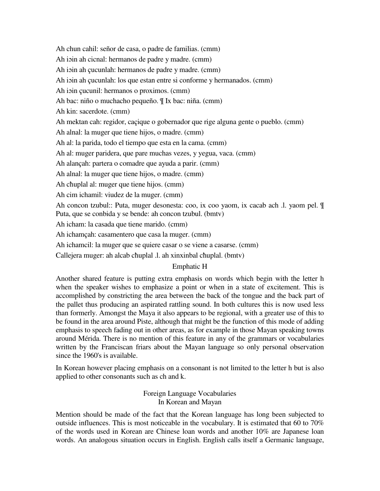Ah chun cahil: señor de casa, o padre de familias. (cmm)

Ah ioin ah cicnal: hermanos de padre y madre. (cmm)

Ah ioin ah çucunlah: hermanos de padre y madre. (cmm)

Ah ioin ah çucunlah: los que estan entre si conforme y hermanados. (cmm)

Ah ioin çucunil: hermanos o proximos. (cmm)

Ah bac: niño o muchacho pequeño. ¶ Ix bac: niña. (cmm)

Ah kin: sacerdote. (cmm)

Ah mektan cah: regidor, caçique o gobernador que rige alguna gente o pueblo. (cmm)

Ah alnal: la muger que tiene hijos, o madre. (cmm)

Ah al: la parida, todo el tiempo que esta en la cama. (cmm)

Ah al: muger paridera, que pare muchas vezes, y yegua, vaca. (cmm)

Ah alançah: partera o comadre que ayuda a parir. (cmm)

Ah alnal: la muger que tiene hijos, o madre. (cmm)

Ah cħuplal al: muger que tiene hijos. (cmm)

Ah cim ichamil: viudez de la muger. (cmm)

Ah concon tzubul:: Puta, muger desonesta: coo, ix coo yaom, ix cacab ach .l. yaom pel. ¶ Puta, que se conbida y se bende: ah concon tzubul. (bmtv)

Ah icham: la casada que tiene marido. (cmm)

Ah ichamçah: casamentero que casa la muger. (cmm)

Ah ichamcil: la muger que se quiere casar o se viene a casarse. (cmm)

Callejera muger: ah alcab cħuplal .l. ah xinxinbal cħuplal. (bmtv)

# Emphatic H

Another shared feature is putting extra emphasis on words which begin with the letter h when the speaker wishes to emphasize a point or when in a state of excitement. This is accomplished by constricting the area between the back of the tongue and the back part of the pallet thus producing an aspirated rattling sound. In both cultures this is now used less than formerly. Amongst the Maya it also appears to be regional, with a greater use of this to be found in the area around Piste, although that might be the function of this mode of adding emphasis to speech fading out in other areas, as for example in those Mayan speaking towns around Mérida. There is no mention of this feature in any of the grammars or vocabularies written by the Franciscan friars about the Mayan language so only personal observation since the 1960's is available.

In Korean however placing emphasis on a consonant is not limited to the letter h but is also applied to other consonants such as ch and k.

> Foreign Language Vocabularies In Korean and Mayan

Mention should be made of the fact that the Korean language has long been subjected to outside influences. This is most noticeable in the vocabulary. It is estimated that 60 to 70% of the words used in Korean are Chinese loan words and another 10% are Japanese loan words. An analogous situation occurs in English. English calls itself a Germanic language,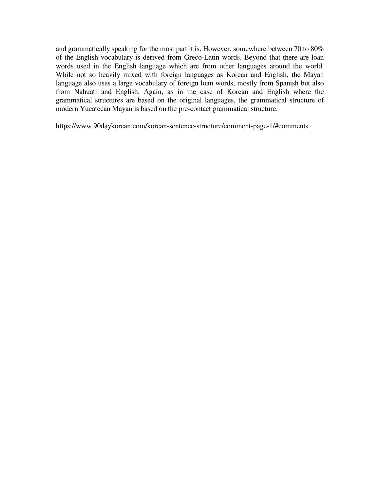and grammatically speaking for the most part it is. However, somewhere between 70 to 80% of the English vocabulary is derived from Greco-Latin words. Beyond that there are loan words used in the English language which are from other languages around the world. While not so heavily mixed with foreign languages as Korean and English, the Mayan language also uses a large vocabulary of foreign loan words, mostly from Spanish but also from Nahuatl and English. Again, as in the case of Korean and English where the grammatical structures are based on the original languages, the grammatical structure of modern Yucatecan Mayan is based on the pre-contact grammatical structure.

https://www.90daykorean.com/korean-sentence-structure/comment-page-1/#comments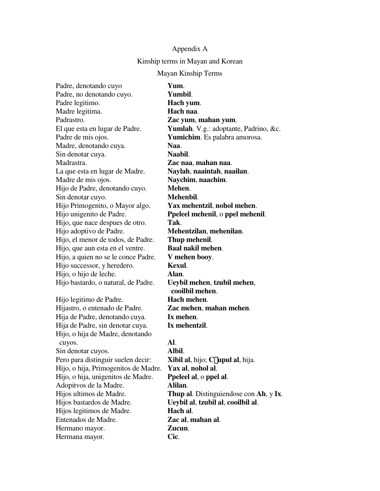### Appendix A

### Kinship terms in Mayan and Korean

### Mayan Kinship Terms

Padre, denotando cuyo **Yum**. Padre, no denotando cuyo. **Yumbil**. Padre legitimo. **Hach yum**. Madre legitima. **Hach naa**. Padrastro. **Zac yum**, **mahan yum**. Padre de mis ojos. **Yumichim**. Es palabra amorosa. Madre, denotando cuya. **Naa**. Sin denotar cuya. Naabil. Madrastra. **Zac naa**, **mahan naa**. La que esta en lugar de Madre. **Naylah**, **naaintah**, **naailan**. Madre de mis ojos. **Naychim**, **naachim**. Hijo de Padre, denotando cuyo. **Mehen**. Sin denotar cuyo. **Mehenbil**. Hijo Primogenito, o Mayor algo. **Yax mehentzil**, **nohol mehen**. Hijo, que nace despues de otro. **Tak**. Hijo adoptivo de Padre. **Mehentzilan**, **mehenilan**. Hijo, el menor de todos, de Padre. **Thup mehenil**. Hijo, que aun esta en el ventre. **Baal nakil mehen**. Hijo, a quien no se le conce Padre. **V mehen booy**. Hijo successor, y heredero. **Kexul**. Hijo, o hijo de leche. **Alan**. Hijo bastardo, o natural, de Padre. **Ueybil mehen**, **tzubil mehen**, Hijo legitimo de Padre. **Hach mehen**. Hijastro, o entenado de Padre. **Zac mehen**, **mahan mehen**. Hija de Padre, denotando cuya. **Ix mehen**. Hija de Padre, sin denotar cuya. **Ix mehentzil**. Hijo, o hija de Madre, denotando cuyos. **Al**. Sin denotar cuyos. **Albil**. Pero para distinguir suelen decir: **Xibil al**, hijo; **C**£**upul al**, hija. Hijo, o hija, Primogenitos de Madre. **Yax al**, **nohol al**. Hijo, o hija, unigenitos de Madre. **Ppeleel al**, o **ppel al**. Adopitvos de la Madre. **Alilan**. Hijos bastardos de Madre. **Ueybil al**, **tzubil al**, **cooilbil al**. Hijos legitimos de Madre. **Hach al**. Entenados de Madre. **Zac al**, **mahan al**. Hermano mayor. **Zucun**. Hermana mayor. **Cic**.

El que esta en lugar de Padre. **Yumlah**. V.g.: adoptante, Padrino, &c. Hijo unigenito de Padre. **Ppeleel mehenil**, o **ppel mehenil**. **cooilbil mehen**. Hijos ultimos de Madre. **Thup al**. Distinguiendose con **Ah**, y **Ix**.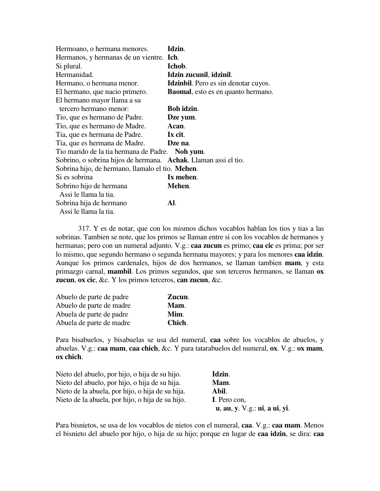| Hermoano, o hermana menores.                                            | Idzin.                                      |
|-------------------------------------------------------------------------|---------------------------------------------|
| Hermanos, y hermanas de un vientre. Ich.                                |                                             |
| Si plural.                                                              | Ichob.                                      |
| Hermanidad.                                                             | Idzin zucunil, idzinil.                     |
| Hermano, o hermana menor.                                               | <b>Idzinbil.</b> Pero es sin denotar cuyos. |
| El hermano, que nacio primero.                                          | <b>Baomal</b> , esto es en quanto hermano.  |
| El hermano mayor llama a su                                             |                                             |
| tercero hermano menor:                                                  | Boh idzin.                                  |
| Tio, que es hermano de Padre.                                           | Dze yum.                                    |
| Tio, que es hermano de Madre.                                           | Acan.                                       |
| Tia, que es hermana de Padre.                                           | Ix cit.                                     |
| Tia, que es hermana de Madre.                                           | Dze na.                                     |
| Tio marido de la tia hermana de Padre. Noh yum.                         |                                             |
| Sobrino, o sobrina hijos de hermana. <b>Achak</b> . Llaman assi el tio. |                                             |
| Sobrina hijo, de hermano, llamalo el tio. <b>Mehen</b> .                |                                             |
| Si es sobrina                                                           | Ix mehen.                                   |
| Sobrino hijo de hermana                                                 | Mehen.                                      |
| Assi le llama la tia.                                                   |                                             |
| Sobrina hija de hermano                                                 | Al.                                         |
| Assi le llama la tia.                                                   |                                             |

 317. Y es de notar, que con los mismos dichos vocablos hablan los tios y tias a las sobrinas. Tambien se note, que los primos se llaman entre si con los vocablos de hermanos y hermanas; pero con un numeral adjunto. V.g.: **caa zucun** es primo; **caa cic** es prima; por ser lo mismo, que segundo hermano o segunda hermana mayores; y para los menores **caa idzin**. Aunque los primos cardenales, hijos de dos hermanos, se llaman tambien **mam**, y esta primazgo carnal, **mambil**. Los primos segundos, que son terceros hermanos, se llaman **ox zucun**, **ox cic**, &c. Y los primos terceros, **can zucun**, &c.

| Abuelo de parte de padre | Zucun. |
|--------------------------|--------|
| Abuelo de parte de madre | Mam.   |
| Abuela de parte de padre | Mim.   |
| Abuela de parte de madre | Chich. |

Para bisabuelos, y bisabuelas se usa del numeral, **caa** sobre los vocablos de abuelos, y abuelas. V.g.: **caa mam**, **caa chich**, &c. Y para tatarabuelos del numeral, **ox**. V.g.: **ox mam**, **ox chich**.

| Nieto del abuelo, por hijo, o hija de su hijo.   | Idzin.                                                                                                                                                  |
|--------------------------------------------------|---------------------------------------------------------------------------------------------------------------------------------------------------------|
| Nieto del abuelo, por hijo, o hija de su hija.   | Mam.                                                                                                                                                    |
| Nieto de la abuela, por hijo, o hija de su hija. | Abil.                                                                                                                                                   |
| Nieto de la abuela, por hijo, o hija de su hijo. | I. Pero con,                                                                                                                                            |
|                                                  | $\mathbf{u}, \mathbf{a}\mathbf{u}, \mathbf{y}, \mathbf{V}.\mathbf{g}$ .: $\mathbf{u}\mathbf{i}, \mathbf{a}\mathbf{u}\mathbf{i}, \mathbf{y}\mathbf{i}$ . |

Para bisnietos, se usa de los vocablos de nietos con el numeral, **caa**. V.g.: **caa mam**. Menos el bisnieto del abuelo por hijo, o hija de su hijo; porque en lugar de **caa idzin**, se dira: **caa**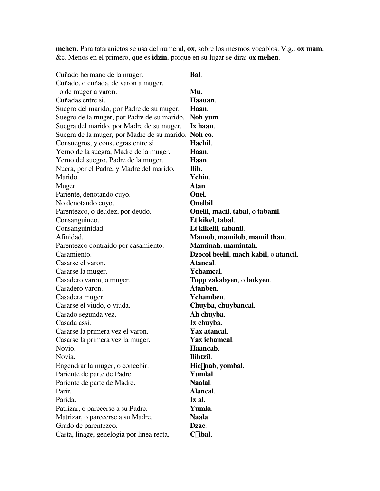**mehen**. Para tataranietos se usa del numeral, **ox**, sobre los mesmos vocablos. V.g.: **ox mam**, &c. Menos en el primero, que es **idzin**, porque en su lugar se dira: **ox mehen**.

| Cuñado hermano de la muger.                         | Bal.                                  |
|-----------------------------------------------------|---------------------------------------|
| Cuñado, o cuñada, de varon a muger,                 |                                       |
| o de muger a varon.                                 | Mu.                                   |
| Cuñadas entre si.                                   | Haauan.                               |
| Suegro del marido, por Padre de su muger.           | Haan.                                 |
| Suegro de la muger, por Padre de su marido.         | Noh yum.                              |
| Suegra del marido, por Madre de su muger.           | Ix haan.                              |
| Suegra de la muger, por Madre de su marido. Noh co. |                                       |
| Consuegros, y consuegras entre si.                  | Hachil.                               |
| Yerno de la suegra, Madre de la muger.              | Haan.                                 |
| Yerno del suegro, Padre de la muger.                | Haan.                                 |
| Nuera, por el Padre, y Madre del marido.            | Ilib.                                 |
| Marido.                                             | Ychin.                                |
| Muger.                                              | Atan.                                 |
| Pariente, denotando cuyo.                           | Onel.                                 |
| No denotando cuyo.                                  | Onelbil.                              |
| Parentezco, o deudez, por deudo.                    | Onelil, macil, tabal, o tabanil.      |
| Consanguineo.                                       | Et kikel, tabal.                      |
| Consanguinidad.                                     | Et kikelil, tabanil.                  |
| Afinidad.                                           | Mamob, mamilob, mamil than.           |
| Parentezco contraido por casamiento.                | Maminah, mamintah.                    |
| Casamiento.                                         | Dzocol beelil, mach kabil, o atancil. |
| Casarse el varon.                                   | Atancal.                              |
| Casarse la muger.                                   | <b>Y</b> chamcal.                     |
| Casadero varon, o muger.                            | Topp zakabyen, o bukyen.              |
| Casadero varon.                                     | Atanben.                              |
| Casadera muger.                                     | Ychamben.                             |
| Casarse el viudo, o viuda.                          | Chuyba, chuybancal.                   |
| Casado segunda vez.                                 | Ah chuyba.                            |
| Casada assi.                                        | Ix chuyba.                            |
| Casarse la primera vez el varon.                    | Yax atancal.                          |
| Casarse la primera vez la muger.                    | Yax ichamcal.                         |
| Novio.                                              | Haancab.                              |
| Novia.                                              | Ilibtzil.                             |
| Engendrar la muger, o concebir.                     | Hic£nab, yombal.                      |
| Pariente de parte de Padre.                         | Yumlal.                               |
| Pariente de parte de Madre.                         | Naalal.                               |
| Parir.                                              | Alancal.                              |
| Parida.                                             | Ix al.                                |
| Patrizar, o parecerse a su Padre.                   | Yumla.                                |
| Matrizar, o parecerse a su Madre.                   | Naala.                                |
| Grado de parentezco.                                | Dzac.                                 |
| Casta, linage, genelogia por linea recta.           | C£ibal.                               |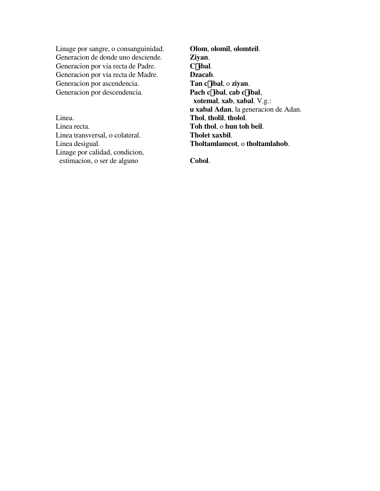Linage por sangre, o consanguinidad. **Olom**, **olomil**, **olomteil**. Generacion de donde uno desciende. **Ziyan**. Generacion por via recta de Padre. **C£ibal**. Generacion por via recta de Madre. **Dzacab**.<br> **Generacion por ascendencia. Tan c£ibal**, o **ziyan**. Generacion por ascendencia. Generacion por descendencia. **Pach c**£**ibal**, **cab c**£**ibal**,

Linea. **Thol**, **tholil**, **tholol**. Linea recta. **Toh thol**, o **hun toh beil**. Linea transversal, o colateral. **Tholet xaxbil**. Linage por calidad, condicion, estimacion, o ser de alguno **Cobol**.

 **xotemal**, **xab**, **xabal**. V.g.: **u xabal Adan**, la generacion de Adan. Linea desigual. **Tholtamlamcot**, o **tholtamlahob**.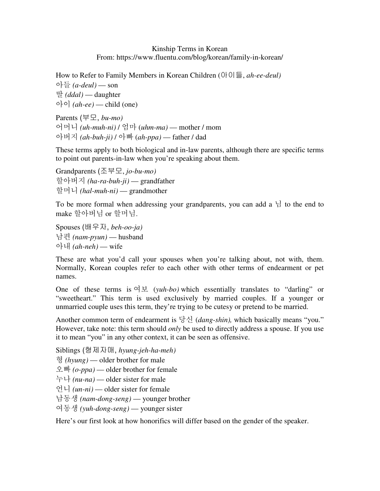## Kinship Terms in Korean From: https://www.fluentu.com/blog/korean/family-in-korean/

How to Refer to Family Members in Korean Children (아이들, *ah-ee-deul)* 아들 *(a-deul)* — son 딸 *(ddal)* — daughter  $\circ$   $\circ$  *(ah-ee)* — child (one)

Parents (부모, *bu-mo)* 어머니 *(uh-muh-ni)* / 엄마 (*uhm-ma)* — mother / mom 아버지 *(ah-buh-ji)* / 아빠 (*ah-ppa)* — father / dad

These terms apply to both biological and in-law parents, although there are specific terms to point out parents-in-law when you're speaking about them.

Grandparents (조부모, *jo-bu-mo)* 할아버지 *(ha-ra-buh-ji)* — grandfather 할머니 *(hal-muh-ni)* — grandmother

To be more formal when addressing your grandparents, you can add a 님 to the end to make 할아버님 or 할머님.

Spouses (배우자, *beh-oo-ja)* 남편 *(nam-pyun)* — husband 아내 *(ah-neh)* — wife

These are what you'd call your spouses when you're talking about, not with, them. Normally, Korean couples refer to each other with other terms of endearment or pet names.

One of these terms is 여보 (*yuh-bo)* which essentially translates to "darling" or "sweetheart." This term is used exclusively by married couples. If a younger or unmarried couple uses this term, they're trying to be cutesy or pretend to be married.

Another common term of endearment is 당신 (*dang-shin),* which basically means "you." However, take note: this term should *only* be used to directly address a spouse. If you use it to mean "you" in any other context, it can be seen as offensive.

Siblings (형제자매, *hyung-jeh-ha-meh)*

형 *(hyung)* — older brother for male

오빠 *(o-ppa)* — older brother for female

누나 *(nu-na)* — older sister for male

언니 *(un-ni)* — older sister for female

남동생 *(nam-dong-seng)* — younger brother

여동생 *(yuh-dong-seng)* — younger sister

Here's our first look at how honorifics will differ based on the gender of the speaker.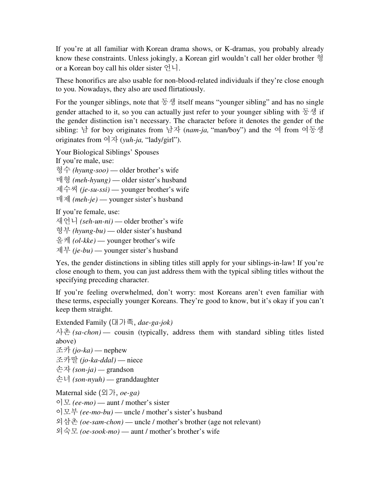If you're at all familiar with Korean drama shows, or K-dramas, you probably already know these constraints. Unless jokingly, a Korean girl wouldn't call her older brother 형 or a Korean boy call his older sister 언니.

These honorifics are also usable for non-blood-related individuals if they're close enough to you. Nowadays, they also are used flirtatiously.

For the younger siblings, note that  $\mathcal{F} \mathcal{Y}$  itself means "younger sibling" and has no single gender attached to it, so you can actually just refer to your younger sibling with 동생 if the gender distinction isn't necessary. The character before it denotes the gender of the sibling: 남 for boy originates from 남자 (*nam-ja,* "man/boy") and the 여 from 여동생 originates from 여자 (*yuh-ja,* "lady/girl").

Your Biological Siblings' Spouses If you're male, use:

형수 *(hyung-soo)* — older brother's wife

매형 *(meh-hyung)* — older sister's husband

제수씨 *(je-su-ssi)* — younger brother's wife

매제 *(meh-je)* — younger sister's husband

If you're female, use:

새언니 *(seh-un-ni)* — older brother's wife

형부 *(hyung-bu)* — older sister's husband

올케 *(ol-kke)* — younger brother's wife

제부 *(je-bu)* — younger sister's husband

Yes, the gender distinctions in sibling titles still apply for your siblings-in-law! If you're close enough to them, you can just address them with the typical sibling titles without the specifying preceding character.

If you're feeling overwhelmed, don't worry: most Koreans aren't even familiar with these terms, especially younger Koreans. They're good to know, but it's okay if you can't keep them straight.

Extended Family (대가족, *dae-ga-jok)*

사촌 *(sa-chon)* — cousin (typically, address them with standard sibling titles listed above)

조카 *(jo-ka)* — nephew

조카딸 *(jo-ka-ddal)* — niece

손자 *(son-ja) —* grandson

손녀 *(son-nyuh)* — granddaughter

Maternal side (외가, *oe-ga)*

이모 *(ee-mo)* — aunt / mother's sister

이모부 *(ee-mo-bu)* — uncle / mother's sister's husband

외삼촌 *(oe-sam-chon)* — uncle / mother's brother (age not relevant)

외숙모 *(oe-sook-mo)* — aunt / mother's brother's wife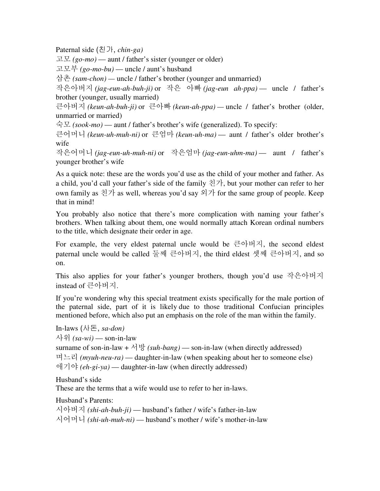Paternal side (친가, *chin-ga)*

고모 *(go-mo)* — aunt / father's sister (younger or older)

고모부 *(go-mo-bu)* — uncle / aunt's husband

삼촌 *(sam-chon) —* uncle / father's brother (younger and unmarried)

작은아버지 *(jag-eun-ah-buh-ji)* or 작은 아빠 *(jag-eun ah-ppa)* — uncle / father's brother (younger, usually married)

큰아버지 *(keun-ah-buh-ji)* or 큰아빠 *(keun-ah-ppa) —* uncle / father's brother (older, unmarried or married)

숙모 *(sook-mo)* — aunt / father's brother's wife (generalized). To specify:

큰어머니 *(keun-uh-muh-ni)* or 큰엄마 *(keun-uh-ma)* — aunt / father's older brother's wife

작은어머니 *(jag-eun-uh-muh-ni)* or 작은엄마 *(jag-eun-uhm-ma)* — aunt / father's younger brother's wife

As a quick note: these are the words you'd use as the child of your mother and father. As a child, you'd call your father's side of the family 친가, but your mother can refer to her own family as  $\{1\}$  as well, whereas you'd say  $\{9\}$  for the same group of people. Keep that in mind!

You probably also notice that there's more complication with naming your father's brothers. When talking about them, one would normally attach Korean ordinal numbers to the title, which designate their order in age.

For example, the very eldest paternal uncle would be 큰아버지, the second eldest paternal uncle would be called 둘째 큰아버지, the third eldest 셋째 큰아버지, and so on.

This also applies for your father's younger brothers, though you'd use 작은아버지 instead of 큰아버지.

If you're wondering why this special treatment exists specifically for the male portion of the paternal side, part of it is likely due to those traditional Confucian principles mentioned before, which also put an emphasis on the role of the man within the family.

```
In-laws (사돈, sa-don)
사위 (sa-wi) — son-in-law 
surname of son-in-law + \forall \exists (suh-bang) — son-in-law (when directly addressed)
며느리 (myuh-neu-ra) — daughter-in-law (when speaking about her to someone else) 
애기야 (eh-gi-ya) — daughter-in-law (when directly addressed)
```
Husband's side

These are the terms that a wife would use to refer to her in-laws.

Husband's Parents: 시아버지 *(shi-ah-buh-ji)* — husband's father / wife's father-in-law 시어머니 *(shi-uh-muh-ni)* — husband's mother / wife's mother-in-law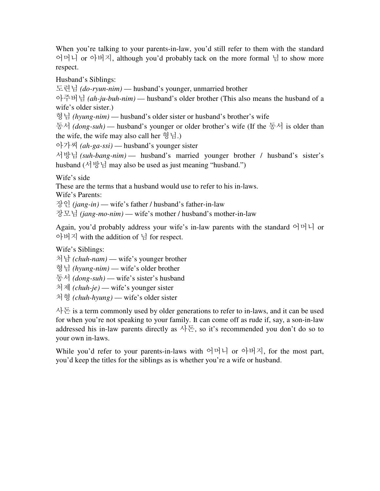When you're talking to your parents-in-law, you'd still refer to them with the standard 어머니 or 아버지, although you'd probably tack on the more formal 님 to show more respect.

Husband's Siblings:

도련님 *(do-ryun-nim)* — husband's younger, unmarried brother

아주버님 *(ah-ju-buh-nim)* — husband's older brother (This also means the husband of a wife's older sister.)

형님 *(hyung-nim)* — husband's older sister or husband's brother's wife

동서 *(dong-suh)* — husband's younger or older brother's wife (If the 동서 is older than the wife, the wife may also call her 형님.)

아가씨 *(ah-ga-ssi)* — husband's younger sister

서방님 *(suh-bang-nim)* — husband's married younger brother / husband's sister's husband (서방님 may also be used as just meaning "husband.")

Wife's side

These are the terms that a husband would use to refer to his in-laws.

Wife's Parents:

장인 *(jang-in)* — wife's father / husband's father-in-law

장모님 *(jang-mo-nim)* — wife's mother / husband's mother-in-law

Again, you'd probably address your wife's in-law parents with the standard 어머니 or 아버지 with the addition of 님 for respect.

Wife's Siblings:

처남 *(chuh-nam)* — wife's younger brother

형님 *(hyung-nim)* — wife's older brother

동서 *(dong-suh)* — wife's sister's husband

처제 *(chuh-je)* — wife's younger sister

처형 *(chuh-hyung)* — wife's older sister

사돈 is a term commonly used by older generations to refer to in-laws, and it can be used for when you're not speaking to your family. It can come off as rude if, say, a son-in-law addressed his in-law parents directly as  $\lambda \geq$ , so it's recommended you don't do so to your own in-laws.

While you'd refer to your parents-in-laws with 어머니 or 아버지, for the most part, you'd keep the titles for the siblings as is whether you're a wife or husband.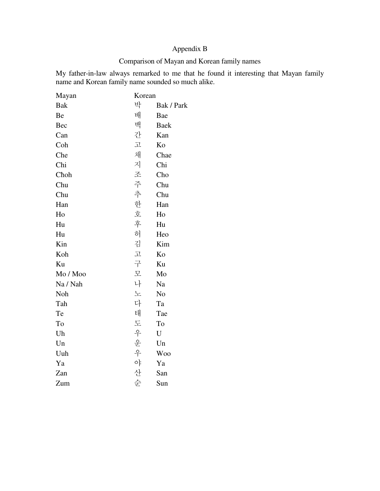# Appendix B

# Comparison of Mayan and Korean family names

My father-in-law always remarked to me that he found it interesting that Mayan family name and Korean family name sounded so much alike.

| Mayan      | Korean            |                        |
|------------|-------------------|------------------------|
| <b>Bak</b> | 박                 | Bak / Park             |
| Be         | 배                 | Bae                    |
| Bec        | 백                 | <b>Baek</b>            |
| Can        | 간                 | Kan                    |
| Coh        | 卫                 | Ko                     |
| Che        | 채                 | Chae                   |
| Chi        | 지                 | Chi                    |
| Choh       |                   | Cho                    |
| Chu        | 조 주 추 한 호 후       | Chu                    |
| Chu        |                   | Chu                    |
| Han        |                   | Han                    |
| Ho         |                   | Ho                     |
| Hu         |                   | Hu                     |
| Hu         | 허                 | Heo                    |
| Kin        | 김                 | Kim                    |
| Koh        | 고                 | Ko                     |
| Ku         | 구                 | Ku                     |
| Mo / Moo   | 모                 | Mo                     |
| Na / Nah   | 나                 | Na                     |
| Noh        | 노                 | N <sub>o</sub>         |
| Tah        | 다                 | Ta                     |
| Te         | 태                 | Tae                    |
| To         | 도                 | To                     |
| Uh         | $\frac{\circ}{T}$ | $\mathbf U$            |
| Un         |                   | $\mathop{\mathrm{Un}}$ |
| Uuh        |                   | <b>Woo</b>             |
| Ya         | · 운<br>아야         | Ya                     |
| Zan        | 산                 | San                    |
| Zum        | 순                 | Sun                    |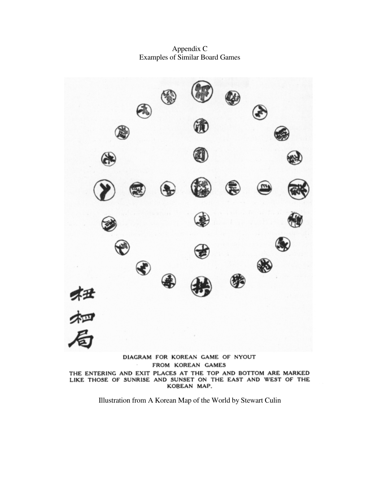Appendix C Examples of Similar Board Games



THE ENTERING AND EXIT PLACES AT THE TOP AND BOTTOM ARE MARKED<br>LIKE THOSE OF SUNRISE AND SUNSET ON THE EAST AND WEST OF THE<br>KOREAN MAP.

Illustration from A Korean Map of the World by Stewart Culin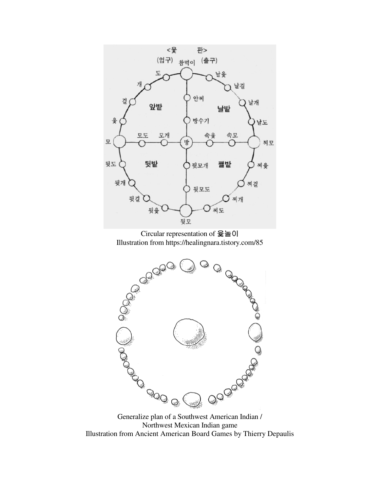

Circular representation of 윷놀이 Illustration from https://healingnara.tistory.com/85



Northwest Mexican Indian game Illustration from Ancient American Board Games by Thierry Depaulis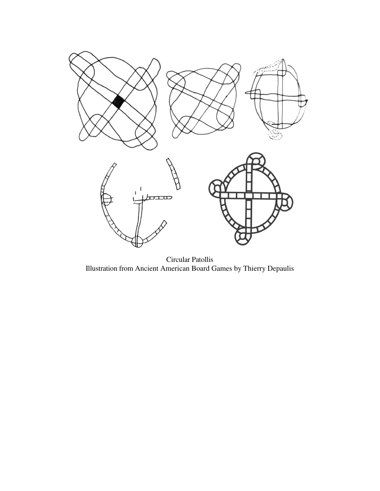

Circular Patollis Illustration from Ancient American Board Games by Thierry Depaulis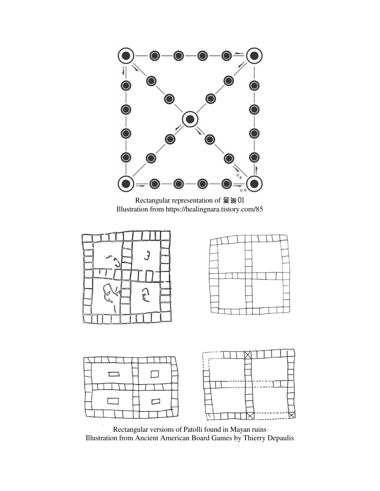

Rectangular representation of 윷놀이 Illustration from https://healingnara.tistory.com/85







Rectangular versions of Patolli found in Mayan ruins Illustration from Ancient American Board Games by Thierry Depaulis